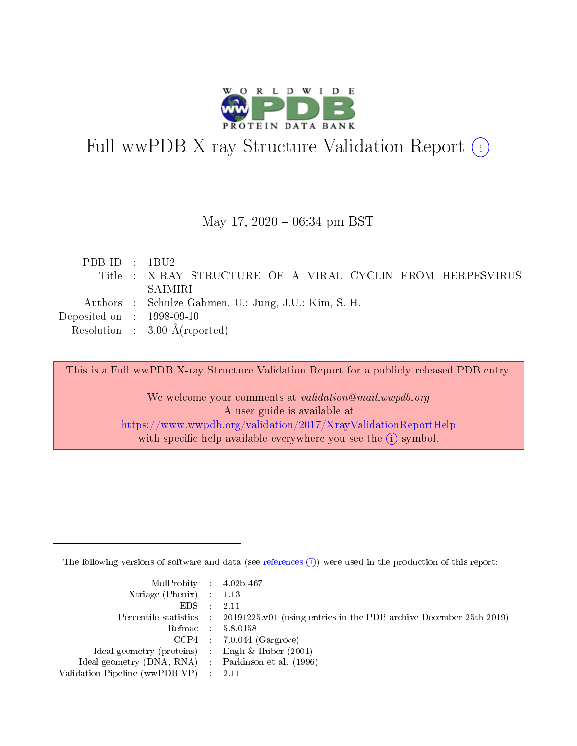

# Full wwPDB X-ray Structure Validation Report (i)

#### May 17,  $2020 - 06:34$  pm BST

| PDBID : 1BU2                         |                                                            |
|--------------------------------------|------------------------------------------------------------|
|                                      | Title : X-RAY STRUCTURE OF A VIRAL CYCLIN FROM HERPESVIRUS |
|                                      | SAIMIRI                                                    |
|                                      | Authors : Schulze-Gahmen, U.; Jung, J.U.; Kim, S.-H.       |
| Deposited on $\therefore$ 1998-09-10 |                                                            |
|                                      | Resolution : $3.00 \text{ Å}$ (reported)                   |

This is a Full wwPDB X-ray Structure Validation Report for a publicly released PDB entry.

We welcome your comments at validation@mail.wwpdb.org A user guide is available at <https://www.wwpdb.org/validation/2017/XrayValidationReportHelp> with specific help available everywhere you see the  $(i)$  symbol.

The following versions of software and data (see [references](https://www.wwpdb.org/validation/2017/XrayValidationReportHelp#references)  $(i)$ ) were used in the production of this report:

| $MolProbability$ 4.02b-467                          |                                                                                            |
|-----------------------------------------------------|--------------------------------------------------------------------------------------------|
| Xtriage (Phenix) $: 1.13$                           |                                                                                            |
| $EDS$ :                                             | -2.11                                                                                      |
|                                                     | Percentile statistics : 20191225.v01 (using entries in the PDB archive December 25th 2019) |
|                                                     | Refmac : 5.8.0158                                                                          |
|                                                     | $CCP4$ : 7.0.044 (Gargrove)                                                                |
| Ideal geometry (proteins) : Engh $\&$ Huber (2001)  |                                                                                            |
| Ideal geometry (DNA, RNA) : Parkinson et al. (1996) |                                                                                            |
| Validation Pipeline (wwPDB-VP)                      | -2.11                                                                                      |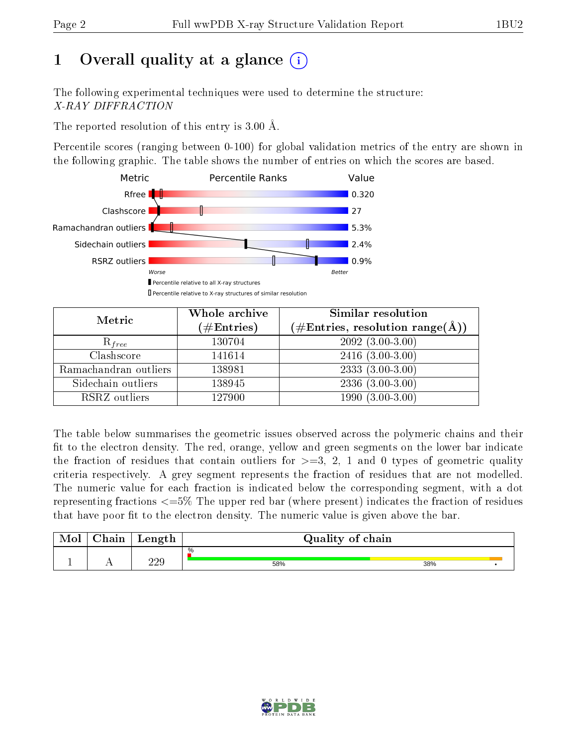# 1 [O](https://www.wwpdb.org/validation/2017/XrayValidationReportHelp#overall_quality)verall quality at a glance  $(i)$

The following experimental techniques were used to determine the structure: X-RAY DIFFRACTION

The reported resolution of this entry is 3.00 Å.

Percentile scores (ranging between 0-100) for global validation metrics of the entry are shown in the following graphic. The table shows the number of entries on which the scores are based.



| Metric                | Whole archive<br>$(\#\text{Entries})$ | Similar resolution<br>$(\#\text{Entries},\,\text{resolution}\,\,\text{range}(\textup{\AA}))$ |  |  |
|-----------------------|---------------------------------------|----------------------------------------------------------------------------------------------|--|--|
| $R_{free}$            | 130704                                | $2092(3.00-3.00)$                                                                            |  |  |
| Clashscore            | 141614                                | $2416(3.00-3.00)$                                                                            |  |  |
| Ramachandran outliers | 138981                                | $2333(3.00-3.00)$                                                                            |  |  |
| Sidechain outliers    | 138945                                | $2336(3.00-3.00)$                                                                            |  |  |
| RSRZ outliers         | 127900                                | $1990(3.00-3.00)$                                                                            |  |  |

The table below summarises the geometric issues observed across the polymeric chains and their fit to the electron density. The red, orange, yellow and green segments on the lower bar indicate the fraction of residues that contain outliers for  $>=3, 2, 1$  and 0 types of geometric quality criteria respectively. A grey segment represents the fraction of residues that are not modelled. The numeric value for each fraction is indicated below the corresponding segment, with a dot representing fractions <=5% The upper red bar (where present) indicates the fraction of residues that have poor fit to the electron density. The numeric value is given above the bar.

| Mol       | $\sim$ $\sim$<br>hain | Length | Quality of chain |     |
|-----------|-----------------------|--------|------------------|-----|
|           |                       | າາດ    | %                |     |
| <u>д.</u> | . .                   | ചച∪    | 58%              | 38% |

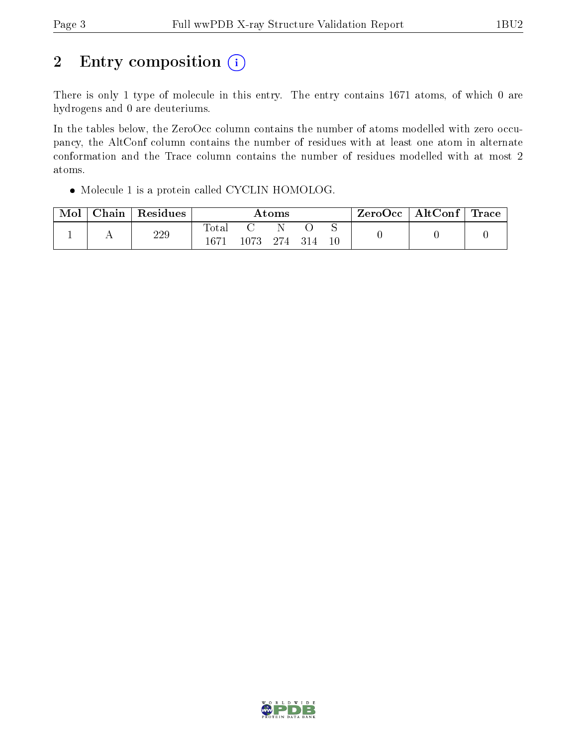# 2 Entry composition  $(i)$

There is only 1 type of molecule in this entry. The entry contains 1671 atoms, of which 0 are hydrogens and 0 are deuteriums.

In the tables below, the ZeroOcc column contains the number of atoms modelled with zero occupancy, the AltConf column contains the number of residues with at least one atom in alternate conformation and the Trace column contains the number of residues modelled with at most 2 atoms.

Molecule 1 is a protein called CYCLIN HOMOLOG.

| Mol | Chain | Residues | Atoms                   |      |       |       | $\rm{ZeroOcc} \mid \rm{AltConf} \mid \rm{Trace}$ |  |  |
|-----|-------|----------|-------------------------|------|-------|-------|--------------------------------------------------|--|--|
|     |       | 229      | $\rm Total$<br>$1671\,$ | 1073 | - 274 | - 314 | 10                                               |  |  |

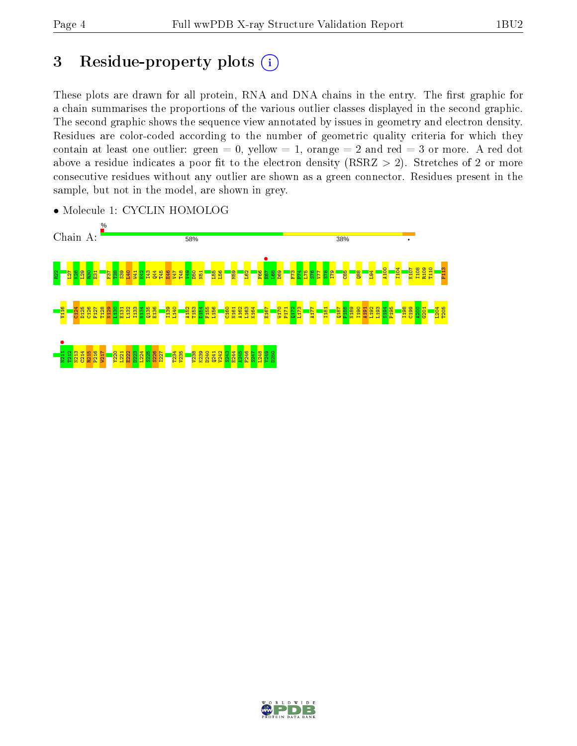# 3 Residue-property plots  $(i)$

These plots are drawn for all protein, RNA and DNA chains in the entry. The first graphic for a chain summarises the proportions of the various outlier classes displayed in the second graphic. The second graphic shows the sequence view annotated by issues in geometry and electron density. Residues are color-coded according to the number of geometric quality criteria for which they contain at least one outlier: green  $= 0$ , yellow  $= 1$ , orange  $= 2$  and red  $= 3$  or more. A red dot above a residue indicates a poor fit to the electron density (RSRZ  $> 2$ ). Stretches of 2 or more consecutive residues without any outlier are shown as a green connector. Residues present in the sample, but not in the model, are shown in grey.



• Molecule 1: CYCLIN HOMOLOG

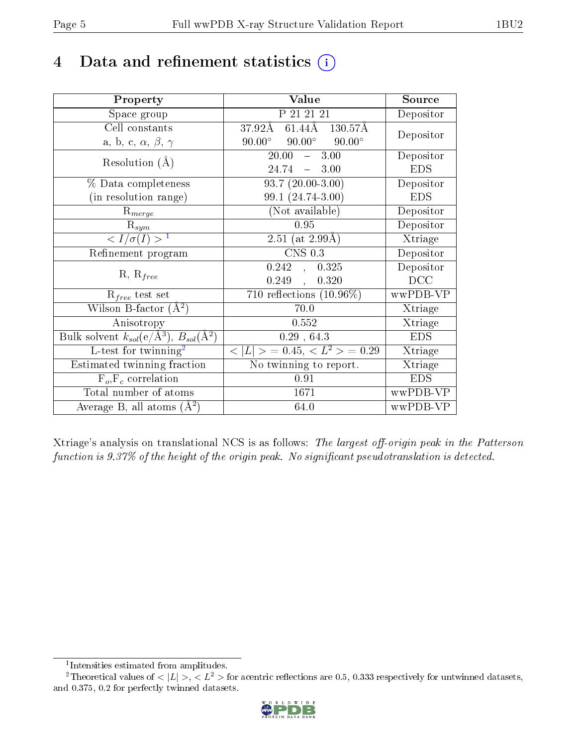# 4 Data and refinement statistics  $(i)$

| Property                                                                | Value                                                 | Source     |
|-------------------------------------------------------------------------|-------------------------------------------------------|------------|
| Space group                                                             | P 21 21 21                                            | Depositor  |
| Cell constants                                                          | $61.44\text{\AA}$<br>$37.92\AA$<br>$130.57\text{\AA}$ | Depositor  |
| a, b, c, $\alpha$ , $\beta$ , $\gamma$                                  | $90.00^{\circ}$ $90.00^{\circ}$<br>$90.00^\circ$      |            |
| Resolution $(A)$                                                        | $-3.00$<br>20.00                                      | Depositor  |
|                                                                         | 24.74<br>$-3.00$                                      | <b>EDS</b> |
| % Data completeness                                                     | $93.7(20.00-3.00)$                                    | Depositor  |
| (in resolution range)                                                   | 99.1 (24.74-3.00)                                     | <b>EDS</b> |
| $R_{merge}$                                                             | (Not available)                                       | Depositor  |
| $\mathrm{R}_{sym}$                                                      | 0.95                                                  | Depositor  |
| $\langle I/\sigma(I) \rangle^{-1}$                                      | $2.51$ (at $2.99\text{\AA}$ )                         | Xtriage    |
| Refinement program                                                      | $CNS$ 0.3                                             | Depositor  |
| $R, R_{free}$                                                           | 0.242,<br>0.325                                       | Depositor  |
|                                                                         | 0.249,<br>0.320                                       | DCC        |
| $\mathcal{R}_{free}$ test set                                           | 710 reflections $(10.96\%)$                           | wwPDB-VP   |
| Wilson B-factor $(A^2)$                                                 | 70.0                                                  | Xtriage    |
| Anisotropy                                                              | 0.552                                                 | Xtriage    |
| Bulk solvent $k_{sol}(\mathrm{e}/\mathrm{A}^3),\,B_{sol}(\mathrm{A}^2)$ | 0.29, 64.3                                            | <b>EDS</b> |
| L-test for twinning <sup>2</sup>                                        | $< L >$ = 0.45, $< L^2 >$ = 0.29                      | Xtriage    |
| Estimated twinning fraction                                             | No twinning to report.                                | Xtriage    |
| $F_o, F_c$ correlation                                                  | 0.91                                                  | <b>EDS</b> |
| Total number of atoms                                                   | 1671                                                  | wwPDB-VP   |
| Average B, all atoms $(A^2)$                                            | 64.0                                                  | wwPDB-VP   |

Xtriage's analysis on translational NCS is as follows: The largest off-origin peak in the Patterson function is  $9.37\%$  of the height of the origin peak. No significant pseudotranslation is detected.

<sup>&</sup>lt;sup>2</sup>Theoretical values of  $\langle |L| \rangle$ ,  $\langle L^2 \rangle$  for acentric reflections are 0.5, 0.333 respectively for untwinned datasets, and 0.375, 0.2 for perfectly twinned datasets.



<span id="page-4-1"></span><span id="page-4-0"></span><sup>1</sup> Intensities estimated from amplitudes.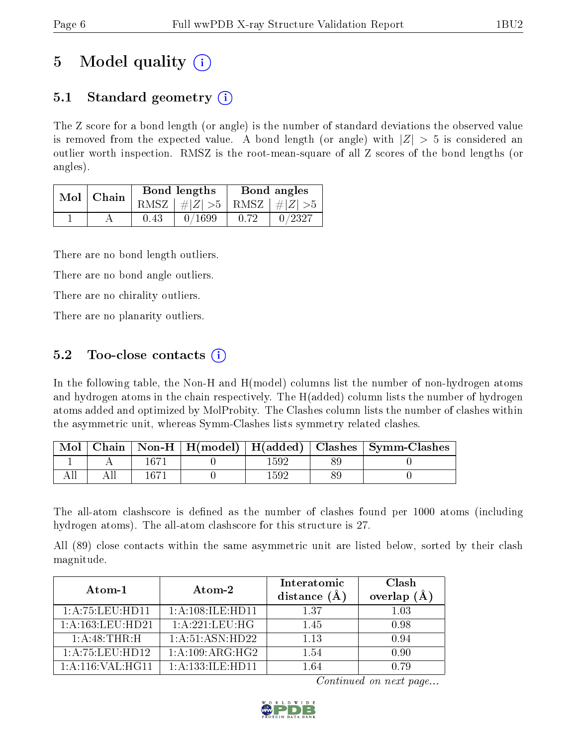# 5 Model quality  $(i)$

## 5.1 Standard geometry  $\overline{()}$

The Z score for a bond length (or angle) is the number of standard deviations the observed value is removed from the expected value. A bond length (or angle) with  $|Z| > 5$  is considered an outlier worth inspection. RMSZ is the root-mean-square of all Z scores of the bond lengths (or angles).

|  | Mol   Chain |      | Bond lengths                    | Bond angles |        |
|--|-------------|------|---------------------------------|-------------|--------|
|  |             |      | RMSZ $ #Z  > 5$ RMSZ $ #Z  > 5$ |             |        |
|  |             | 0.43 | 0/1699                          | 0.72        | 0/2327 |

There are no bond length outliers.

There are no bond angle outliers.

There are no chirality outliers.

There are no planarity outliers.

### 5.2 Too-close contacts  $\overline{()}$

In the following table, the Non-H and H(model) columns list the number of non-hydrogen atoms and hydrogen atoms in the chain respectively. The H(added) column lists the number of hydrogen atoms added and optimized by MolProbity. The Clashes column lists the number of clashes within the asymmetric unit, whereas Symm-Clashes lists symmetry related clashes.

| Mol |  |      | Chain   Non-H   H(model)   H(added)   Clashes   Symm-Clashes |
|-----|--|------|--------------------------------------------------------------|
|     |  |      |                                                              |
|     |  | 1592 |                                                              |

The all-atom clashscore is defined as the number of clashes found per 1000 atoms (including hydrogen atoms). The all-atom clashscore for this structure is 27.

All (89) close contacts within the same asymmetric unit are listed below, sorted by their clash magnitude.

| Atom-1               | Atom-2               | Interatomic<br>distance $(A)$ | Clash<br>overlap<br>(A) |
|----------------------|----------------------|-------------------------------|-------------------------|
| 1: A: 75: LEU: HD11  | 1:A:108:ILE:HD11     | 1.37                          | 1.03                    |
| 1: A: 163: LEU: HD21 | 1: A:221:LEU:HG      | 1.45                          | 0.98                    |
| 1:A:48:THR:H         | 1:A:51:ASN:HD22      | 1.13                          | 0.94                    |
| 1: A:75:LEU:HD12     | 1: A:109: ARG:HG2    | 1.54                          | 0.90                    |
| 1: A: 116: VAL: HG11 | 1: A: 133: ILE: HD11 | 1 64                          | N 79                    |

Continued on next page...

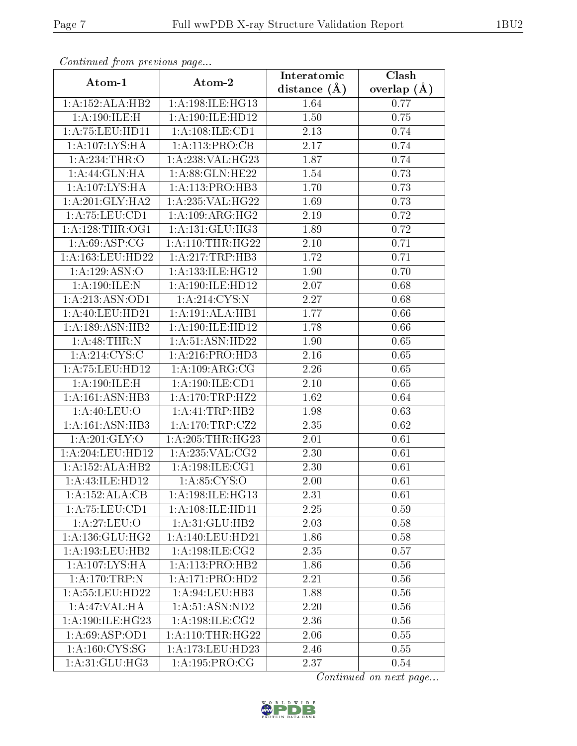| Continuea from previous page |                              | Interatomic      | $\overline{\text{Clash}}$ |
|------------------------------|------------------------------|------------------|---------------------------|
| Atom-1                       | Atom-2                       | distance $(\AA)$ | overlap $(A)$             |
| 1:A:152:ALA:HB2              | 1:A:198:ILE:HG13             | 1.64             | 0.77                      |
| 1:A:190:ILE:H                | 1:A:190:ILE:H <sub>D12</sub> | 1.50             | 0.75                      |
| 1: A: 75: LEU: HD11          | 1: A: 108: ILE: CD1          | 2.13             | 0.74                      |
| 1:A:107:LYS:HA               | 1: A:113:PRO:CB              | 2.17             | 0.74                      |
| 1:A:234:THR:O                | 1:A:238:VAL:HG23             | 1.87             | 0.74                      |
| 1: A:44: GLN: HA             | 1: A:88: GLN: HE22           | 1.54             | 0.73                      |
| 1:A:107:LYS:HA               | 1:A:113:PRO:HB3              | 1.70             | 0.73                      |
| 1: A:201: GLY:HA2            | 1: A:235: VAL:HG22           | 1.69             | 0.73                      |
| 1: A: 75: LEU: CD1           | 1: A:109: ARG: HG2           | 2.19             | 0.72                      |
| 1: A:128:THR:OG1             | 1: A: 131: GLU: HG3          | 1.89             | 0.72                      |
| 1: A:69: ASP:CG              | 1: A:110:THR:HG22            | 2.10             | 0.71                      |
| 1: A: 163: LEU: HD22         | 1: A:217:TRP:HB3             | 1.72             | 0.71                      |
| 1:A:129:ASN:O                | 1:A:133:ILE:HG12             | 1.90             | 0.70                      |
| 1:A:190:ILE:N                | 1:A:190:ILE:HD12             | 2.07             | 0.68                      |
| 1:A:213:ASN:OD1              | 1: A:214:CYS:N               | 2.27             | 0.68                      |
| 1: A:40:LEU:HD21             | 1:A:191:ALA:HB1              | 1.77             | 0.66                      |
| 1:A:189:ASN:HB2              | 1:A:190:ILE:HD12             | 1.78             | 0.66                      |
| 1: A:48:THR:N                | 1:A:51:ASN:HD22              | 1.90             | 0.65                      |
| 1: A:214:CYS:C               | 1: A:216: PRO:HD3            | 2.16             | 0.65                      |
| 1: A: 75: LEU: HD12          | 1:A:109:ARG:CG               | 2.26             | 0.65                      |
| 1:A:190:ILE:H                | 1:A:190:ILE:CD1              | $2.10\,$         | 0.65                      |
| 1: A:161: ASN:HB3            | 1: A: 170: TRP: HZ2          | 1.62             | 0.64                      |
| 1: A:40: LEU:O               | 1:A:41:TRP:HB2               | 1.98             | 0.63                      |
| 1: A:161: ASN:HB3            | 1: A:170:TRP: CZ2            | 2.35             | 0.62                      |
| 1: A:201: GLY:O              | 1: A:205:THR:HG23            | 2.01             | 0.61                      |
| 1: A:204:LEU:HD12            | 1: A:235: VAL: CG2           | 2.30             | 0.61                      |
| 1:A:152:ALA:HB2              | 1: A:198: ILE: CG1           | 2.30             | 0.61                      |
| 1:A:43:ILE:HD12              | 1: A:85:CYS:O                | 2.00             | 0.61                      |
| 1:A:152:ALA:CB               | 1:A:198:ILE:HG13             | 2.31             | 0.61                      |
| 1: A: 75: LEU: CD1           | 1: A: 108: ILE: HD11         | 2.25             | 0.59                      |
| 1:A:27:LEU:O                 | 1:A:31:GLU:HB2               | 2.03             | 0.58                      |
| 1: A: 136: GLU: HG2          | 1:A:140:LEU:HD21             | 1.86             | 0.58                      |
| 1: A: 193: LEU: HB2          | $1:$ A:198:ILE:CG2           | 2.35             | 0.57                      |
| 1:A:107:LYS:HA               | 1:A:113:PRO:HB2              | 1.86             | 0.56                      |
| 1:A:170:TRP:N                | 1:A:171:PRO:HD2              | 2.21             | 0.56                      |
| 1: A: 55: LEU: HD22          | 1: A:94:LEU:HB3              | 1.88             | 0.56                      |
| 1:A:47:VAL:HA                | 1: A:51: ASN: ND2            | 2.20             | 0.56                      |
| 1:A:190:ILE:HG23             | 1: A:198: ILE: CG2           | 2.36             | 0.56                      |
| 1:A:69:ASP:OD1               | 1: A:110:THR:HG22            | 2.06             | 0.55                      |
| 1: A: 160: CYS: SG           | 1:A:173:LEU:HD23             | 2.46             | 0.55                      |
| 1: A:31: GLU: HG3            | 1: A: 195: PRO:CG            | 2.37             | 0.54                      |

Continued from previous page.

Continued on next page...

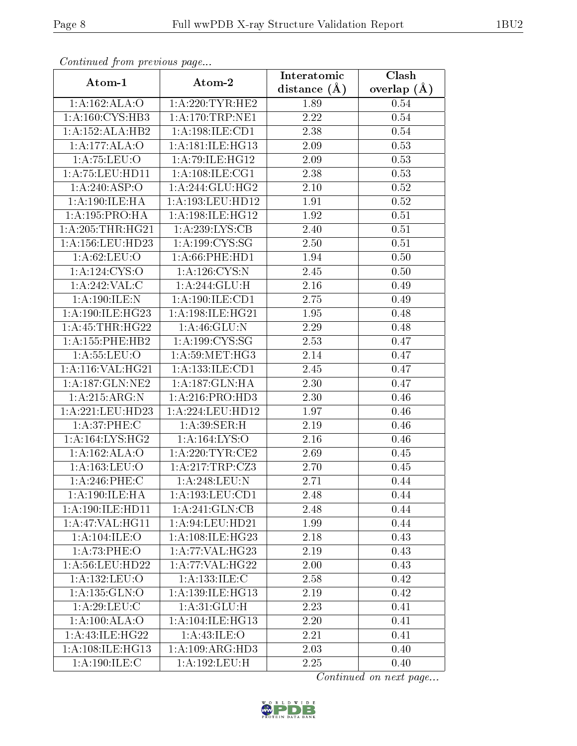| Continuea from previous page |                       | Interatomic       | Clash         |
|------------------------------|-----------------------|-------------------|---------------|
| Atom-1                       | Atom-2                | distance $(A)$    | overlap $(A)$ |
| 1:A:162:ALA:O                | 1: A:220:TYR:HE2      | 1.89              | 0.54          |
| 1:A:160:CYS:HB3              | 1: A:170:TRP:NE1      | $\overline{2.22}$ | 0.54          |
| 1:A:152:ALA:HB2              | 1: A: 198: ILE: CD1   | 2.38              | 0.54          |
| 1:A:177:ALA:O                | 1: A:181: ILE: HG13   | 2.09              | 0.53          |
| 1:A:75:LEU:O                 | 1:A:79:ILE:HG12       | 2.09              | 0.53          |
| 1: A: 75: LEU: HD11          | 1: A: 108: ILE: CG1   | 2.38              | 0.53          |
| 1:A:240:ASP:O                | 1: A:244: GLU: HG2    | $2.10\,$          | 0.52          |
| 1: A:190: ILE: HA            | 1:A:193:LEU:HD12      | 1.91              | 0.52          |
| 1: A: 195: PRO: HA           | 1: A:198: ILE: HG12   | 1.92              | 0.51          |
| 1: A:205:THR:HG21            | 1: A:239: LYS: CB     | 2.40              | 0.51          |
| 1: A: 156: LEU: HD23         | 1: A: 199: CYS: SG    | 2.50              | 0.51          |
| 1: A:62:LEU:O                | $1: A:66:$ PHE:HD $1$ | 1.94              | 0.50          |
| 1: A: 124: CYS:O             | 1: A: 126: CYS:N      | 2.45              | 0.50          |
| 1: A:242:VAL: C              | 1:A:244:GLU:H         | 2.16              | 0.49          |
| 1:A:190:ILE:N                | 1: A: 190: ILE: CD1   | 2.75              | 0.49          |
| 1: A:190: ILE: HG23          | 1:A:198:ILE:HG21      | 1.95              | 0.48          |
| 1: A:45:THR:HG22             | 1:A:46:GLU:N          | 2.29              | 0.48          |
| 1: A: 155: PHE: HB2          | 1:A:199:CYS:SG        | 2.53              | 0.47          |
| 1: A: 55: LEU: O             | 1: A:59:MET:HG3       | 2.14              | 0.47          |
| 1:A:116:VAL:HG21             | 1: A: 133: ILE: CD1   | 2.45              | 0.47          |
| 1:A:187:GLN:NE2              | 1:A:187:GLN:HA        | 2.30              | 0.47          |
| 1:A:215:ARG:N                | 1: A:216: PRO:HD3     | 2.30              | 0.46          |
| 1:A:221:LEU:HD23             | 1:A:224:LEU:HD12      | 1.97              | 0.46          |
| 1: A:37:PHE: C               | 1:A:39:SER:H          | 2.19              | 0.46          |
| 1: A: 164: LYS: HG2          | 1:A:164:LYS:O         | 2.16              | 0.46          |
| 1:A:162:ALA:O                | 1: A:220:TYR:CE2      | 2.69              | 0.45          |
| 1: A: 163: LEU: O            | 1:A:217:TRP:CZ3       | 2.70              | 0.45          |
| $1: A:246:$ PHE:C            | 1:A:248:LEU:N         | 2.71              | 0.44          |
| 1: A: 190: ILE: HA           | 1:A:193:LEU:CD1       | 2.48              | 0.44          |
| 1:A:190:ILE:HD11             | 1: A:241: GLN: CB     | 2.48              | 0.44          |
| 1:A:47:VAL:HG11              | 1:A:94:LEU:HD21       | 1.99              | 0.44          |
| 1:A:104:ILE:O                | 1: A: 108: ILE: HG23  | 2.18              | 0.43          |
| 1:A:73:PHE:O                 | 1:A:77:VAL:H G23      | 2.19              | 0.43          |
| 1:A:56:LEU:HD22              | 1: A:77: VAL:HG22     | 2.00              | 0.43          |
| 1:A:132:LEU:O                | 1:A:133:ILE:C         | 2.58              | 0.42          |
| 1: A: 135: GLN: O            | 1:A:139:ILE:HG13      | 2.19              | 0.42          |
| 1: A:29: LEU: C              | 1: A:31: GLU:H        | 2.23              | 0.41          |
| 1:A:100:ALA:O                | 1:A:104:ILE:HG13      | 2.20              | 0.41          |
| 1: A:43: ILE: HG22           | 1:A:43:ILE:O          | 2.21              | 0.41          |
| 1: A:108: ILE: HG13          | 1:A:109:ARG:HD3       | 2.03              | 0.40          |
| 1: A:190: ILE:C              | 1:A:192:LEU:H         | 2.25              | 0.40          |

Continued from previous page.

Continued on next page...

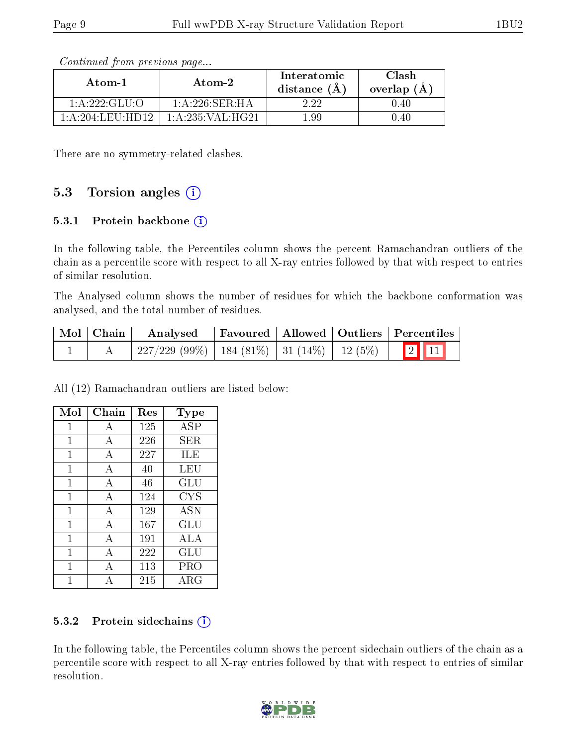| Atom-1            | Atom-2             | Interatomic<br>distance $(\AA)$ | Clash<br>overlap $(\AA)$ |
|-------------------|--------------------|---------------------------------|--------------------------|
| 1: A: 222: GLU: O | $1: A:226:$ SER:HA | 2. 22                           | 0.40                     |
| 1: A:204:LEU:HD12 | 1: A:235: VAL:HG21 | 1.99                            | 0.40                     |

Continued from previous page...

There are no symmetry-related clashes.

### 5.3 Torsion angles  $(i)$

#### 5.3.1 Protein backbone  $(i)$

In the following table, the Percentiles column shows the percent Ramachandran outliers of the chain as a percentile score with respect to all X-ray entries followed by that with respect to entries of similar resolution.

The Analysed column shows the number of residues for which the backbone conformation was analysed, and the total number of residues.

| $\mid$ Mol $\mid$ Chain $\mid$ | Analysed                                             |  | Favoured   Allowed   Outliers   Percentiles |
|--------------------------------|------------------------------------------------------|--|---------------------------------------------|
|                                | $227/229$ (99\%)   184 (81\%)   31 (14\%)   12 (5\%) |  | $\boxed{2}$ $\boxed{11}$                    |

All (12) Ramachandran outliers are listed below:

| Mol          | Chain          | Res | Type        |
|--------------|----------------|-----|-------------|
| 1            | А              | 125 | ASP         |
| 1            | А              | 226 | SER.        |
| 1            | А              | 227 | ILE         |
| 1            | $\overline{A}$ | 40  | LEU         |
| $\mathbf{1}$ | А              | 46  | GLU         |
| $\mathbf{1}$ | $\overline{A}$ | 124 | <b>CYS</b>  |
| 1            | A              | 129 | <b>ASN</b>  |
| $\mathbf{1}$ | A              | 167 | GLU         |
| $\mathbf{1}$ | А              | 191 | ALA         |
| 1            | А              | 222 | GLU         |
| 1            | А              | 113 | PRO         |
|              |                | 215 | ${\rm ARG}$ |

#### 5.3.2 Protein sidechains  $(i)$

In the following table, the Percentiles column shows the percent sidechain outliers of the chain as a percentile score with respect to all X-ray entries followed by that with respect to entries of similar resolution.

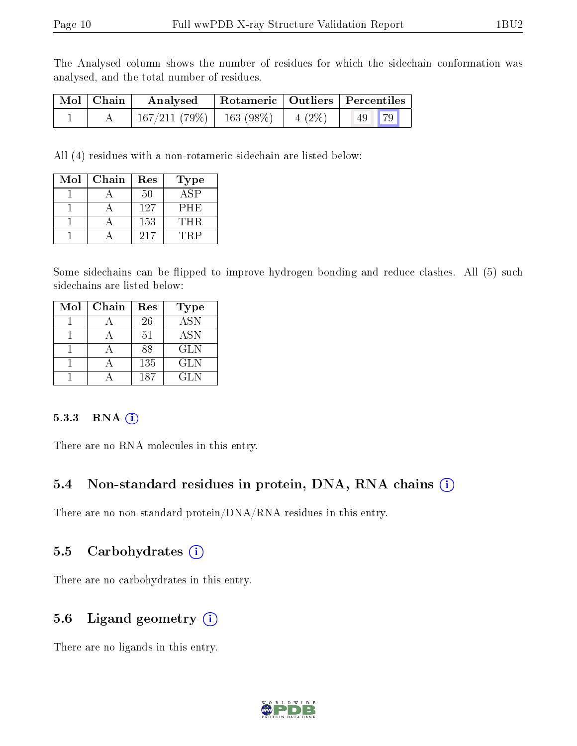The Analysed column shows the number of residues for which the sidechain conformation was analysed, and the total number of residues.

| Mol   Chain | Analysed                   |                   | Rotameric   Outliers   Percentiles |
|-------------|----------------------------|-------------------|------------------------------------|
|             | $167/211(79\%)$ 163 (98\%) | $\vert 4 \ (2\%)$ | $\vert 49 \vert 79 \vert$          |

All (4) residues with a non-rotameric sidechain are listed below:

| Mol | Chain | Res | Type       |
|-----|-------|-----|------------|
|     |       | 50  | ASP        |
|     |       | 127 | <b>PHE</b> |
|     |       | 153 | THR.       |
|     |       | 217 | TRP        |

Some sidechains can be flipped to improve hydrogen bonding and reduce clashes. All (5) such sidechains are listed below:

| Mol | Chain | Res | Type       |
|-----|-------|-----|------------|
|     |       | 26  | <b>ASN</b> |
|     |       | 51  | <b>ASN</b> |
|     |       | 88  | <b>GLN</b> |
|     |       | 135 | <b>GLN</b> |
|     |       | 187 | GLN.       |

#### 5.3.3 RNA (1)

There are no RNA molecules in this entry.

### 5.4 Non-standard residues in protein, DNA, RNA chains (i)

There are no non-standard protein/DNA/RNA residues in this entry.

### 5.5 Carbohydrates (i)

There are no carbohydrates in this entry.

### 5.6 Ligand geometry (i)

There are no ligands in this entry.

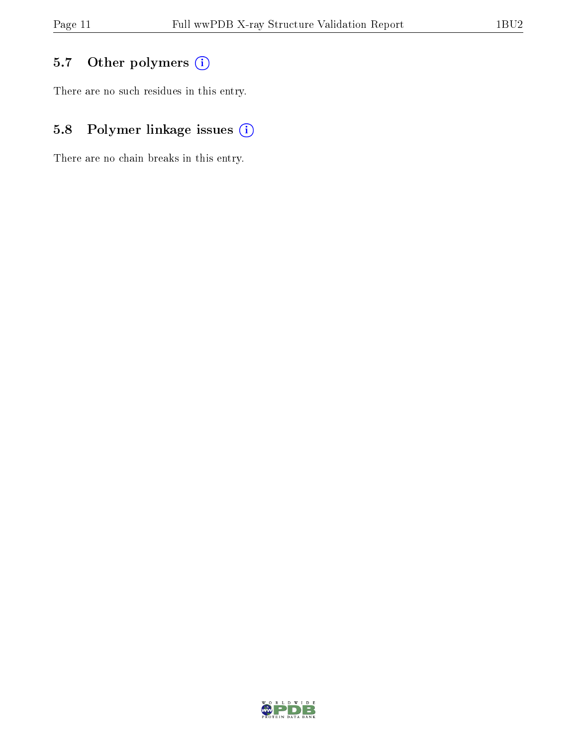## 5.7 [O](https://www.wwpdb.org/validation/2017/XrayValidationReportHelp#nonstandard_residues_and_ligands)ther polymers (i)

There are no such residues in this entry.

## 5.8 Polymer linkage issues (i)

There are no chain breaks in this entry.